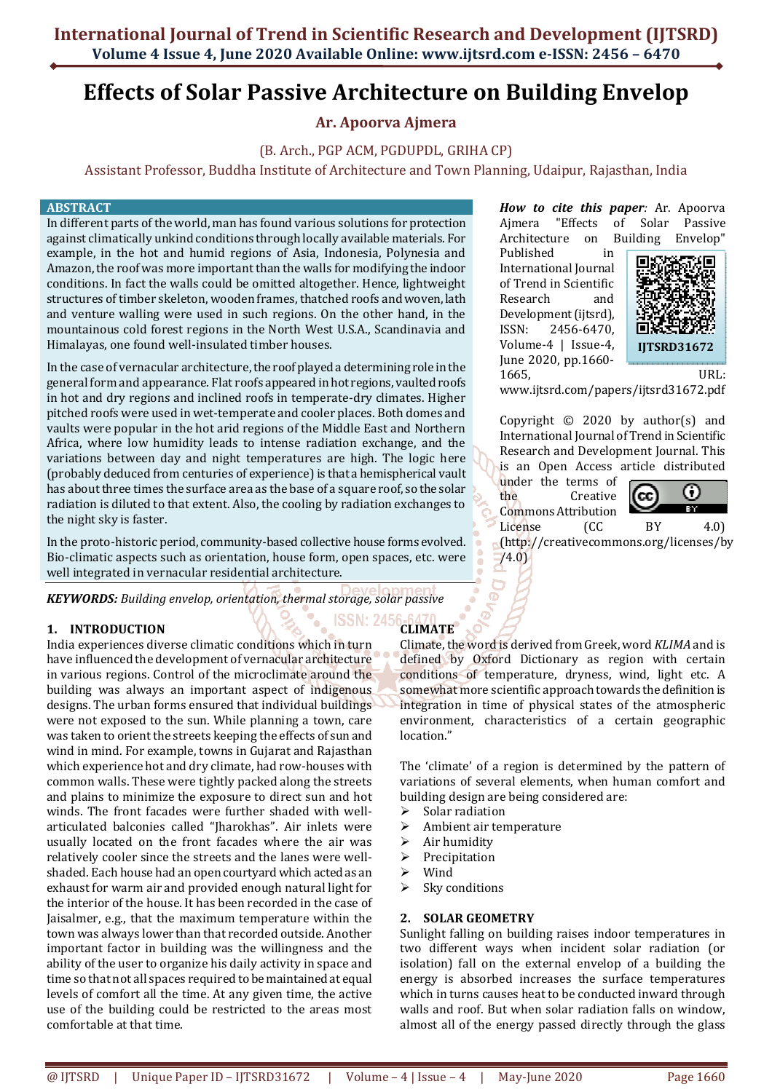# **Effects of Solar Passive Architecture on Building Envelop**

# **Ar. Apoorva Ajmera**

# (B. Arch., PGP ACM, PGDUPDL, GRIHA CP)

Assistant Professor, Buddha Institute of Architecture and Town Planning, Udaipur, Rajasthan, India

#### **ABSTRACT**

In different parts of the world, man has found various solutions for protection against climatically unkind conditions through locally available materials. For example, in the hot and humid regions of Asia, Indonesia, Polynesia and Amazon, the roof was more important than the walls for modifying the indoor conditions. In fact the walls could be omitted altogether. Hence, lightweight structures of timber skeleton, wooden frames, thatched roofs and woven, lath and venture walling were used in such regions. On the other hand, in the mountainous cold forest regions in the North West U.S.A., Scandinavia and Himalayas, one found well-insulated timber houses.

In the case of vernacular architecture, the roof played a determining role in the general form and appearance. Flat roofs appeared in hot regions, vaulted roofs in hot and dry regions and inclined roofs in temperate-dry climates. Higher pitched roofs were used in wet-temperate and cooler places. Both domes and vaults were popular in the hot arid regions of the Middle East and Northern Africa, where low humidity leads to intense radiation exchange, and the variations between day and night temperatures are high. The logic here (probably deduced from centuries of experience) is that a hemispherical vault has about three times the surface area as the base of a square roof, so the solar radiation is diluted to that extent. Also, the cooling by radiation exchanges to the night sky is faster.

In the proto-historic period, community-based collective house forms evolved. Bio-climatic aspects such as orientation, house form, open spaces, etc. were well integrated in vernacular residential architecture.

*KEYWORDS: Building envelop, orientation, thermal storage, solar passive* 

# **1. INTRODUCTION**

India experiences diverse climatic conditions which in turn have influenced the development of vernacular architecture in various regions. Control of the microclimate around the building was always an important aspect of indigenous designs. The urban forms ensured that individual buildings were not exposed to the sun. While planning a town, care was taken to orient the streets keeping the effects of sun and wind in mind. For example, towns in Gujarat and Rajasthan which experience hot and dry climate, had row-houses with common walls. These were tightly packed along the streets and plains to minimize the exposure to direct sun and hot winds. The front facades were further shaded with wellarticulated balconies called "Jharokhas". Air inlets were usually located on the front facades where the air was relatively cooler since the streets and the lanes were wellshaded. Each house had an open courtyard which acted as an exhaust for warm air and provided enough natural light for the interior of the house. It has been recorded in the case of Jaisalmer, e.g., that the maximum temperature within the town was always lower than that recorded outside. Another important factor in building was the willingness and the ability of the user to organize his daily activity in space and time so that not all spaces required to be maintained at equal levels of comfort all the time. At any given time, the active use of the building could be restricted to the areas most comfortable at that time.

*How to cite this paper:* Ar. Apoorva Ajmera "Effects of Solar Passive Architecture on Building Envelop"

Published in International Journal of Trend in Scientific Research and Development (ijtsrd), ISSN: 2456-6470, Volume-4 | Issue-4, June 2020, pp.1660- 1665, URL:



www.ijtsrd.com/papers/ijtsrd31672.pdf

Copyright © 2020 by author(s) and International Journal of Trend in Scientific Research and Development Journal. This is an Open Access article distributed

under the terms of the Creative Commons Attribution



License (CC BY 4.0) (http://creativecommons.org/licenses/by  $(4.0)$ 

Climate, the word is derived from Greek, word *KLIMA* and is defined by Oxford Dictionary as region with certain conditions of temperature, dryness, wind, light etc. A somewhat more scientific approach towards the definition is integration in time of physical states of the atmospheric environment, characteristics of a certain geographic location."

The 'climate' of a region is determined by the pattern of variations of several elements, when human comfort and building design are being considered are:

- $\triangleright$  Solar radiation
- $\triangleright$  Ambient air temperature
- $\triangleright$  Air humidity
- $\triangleright$  Precipitation
- Wind

**CLIMATE** 

 $\triangleright$  Sky conditions

# **2. SOLAR GEOMETRY**

Sunlight falling on building raises indoor temperatures in two different ways when incident solar radiation (or isolation) fall on the external envelop of a building the energy is absorbed increases the surface temperatures which in turns causes heat to be conducted inward through walls and roof. But when solar radiation falls on window, almost all of the energy passed directly through the glass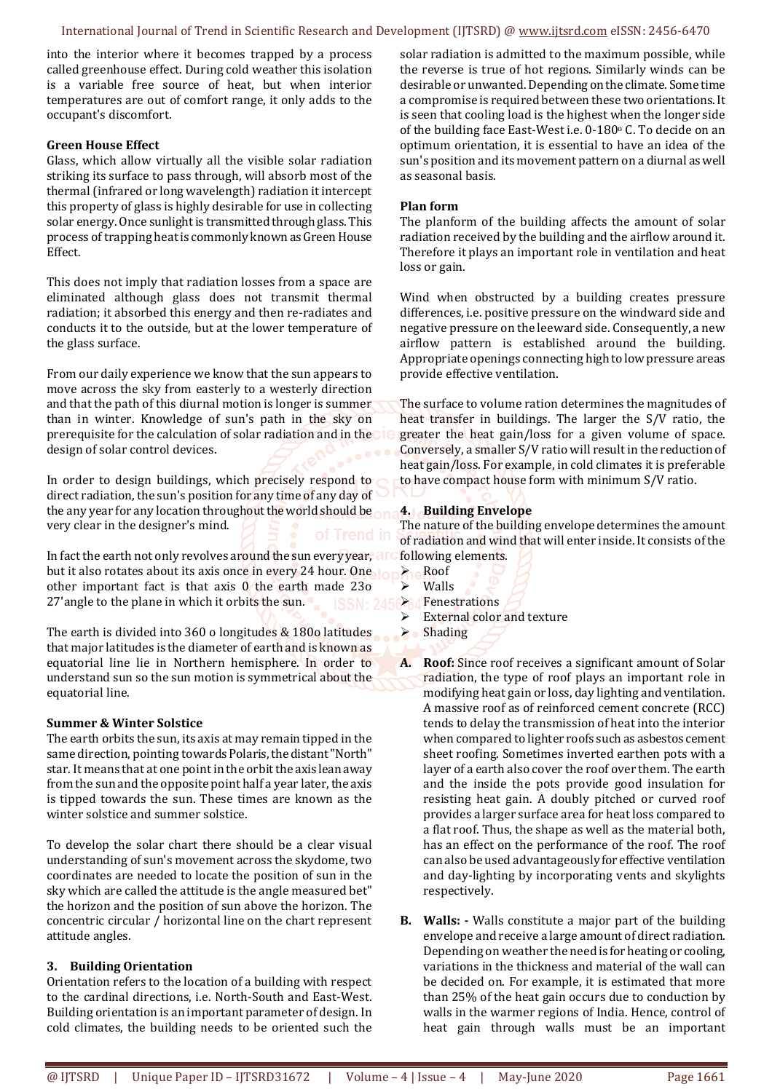#### International Journal of Trend in Scientific Research and Development (IJTSRD) @ www.ijtsrd.com eISSN: 2456-6470

into the interior where it becomes trapped by a process called greenhouse effect. During cold weather this isolation is a variable free source of heat, but when interior temperatures are out of comfort range, it only adds to the occupant's discomfort.

#### **Green House Effect**

Glass, which allow virtually all the visible solar radiation striking its surface to pass through, will absorb most of the thermal (infrared or long wavelength) radiation it intercept this property of glass is highly desirable for use in collecting solar energy. Once sunlight is transmitted through glass. This process of trapping heat is commonly known as Green House Effect.

This does not imply that radiation losses from a space are eliminated although glass does not transmit thermal radiation; it absorbed this energy and then re-radiates and conducts it to the outside, but at the lower temperature of the glass surface.

From our daily experience we know that the sun appears to move across the sky from easterly to a westerly direction and that the path of this diurnal motion is longer is summer than in winter. Knowledge of sun's path in the sky on prerequisite for the calculation of solar radiation and in the design of solar control devices.

In order to design buildings, which precisely respond to direct radiation, the sun's position for any time of any day of the any year for any location throughout the world should be very clear in the designer's mind.

In fact the earth not only revolves around the sun every year, and but it also rotates about its axis once in every 24 hour. One other important fact is that axis 0 the earth made 23o 27'angle to the plane in which it orbits the sun.

The earth is divided into 360 o longitudes & 180o latitudes that major latitudes is the diameter of earth and is known as equatorial line lie in Northern hemisphere. In order to understand sun so the sun motion is symmetrical about the equatorial line.

#### **Summer & Winter Solstice**

The earth orbits the sun, its axis at may remain tipped in the same direction, pointing towards Polaris, the distant "North" star. It means that at one point in the orbit the axis lean away from the sun and the opposite point half a year later, the axis is tipped towards the sun. These times are known as the winter solstice and summer solstice.

To develop the solar chart there should be a clear visual understanding of sun's movement across the skydome, two coordinates are needed to locate the position of sun in the sky which are called the attitude is the angle measured bet" the horizon and the position of sun above the horizon. The concentric circular / horizontal line on the chart represent attitude angles.

#### **3. Building Orientation**

Orientation refers to the location of a building with respect to the cardinal directions, i.e. North-South and East-West. Building orientation is an important parameter of design. In cold climates, the building needs to be oriented such the

solar radiation is admitted to the maximum possible, while the reverse is true of hot regions. Similarly winds can be desirable or unwanted. Depending on the climate. Some time a compromise is required between these two orientations. It is seen that cooling load is the highest when the longer side of the building face East-West i.e.  $0-180^\circ$  C. To decide on an optimum orientation, it is essential to have an idea of the sun's position and its movement pattern on a diurnal as well as seasonal basis.

#### **Plan form**

The planform of the building affects the amount of solar radiation received by the building and the airflow around it. Therefore it plays an important role in ventilation and heat loss or gain.

Wind when obstructed by a building creates pressure differences, i.e. positive pressure on the windward side and negative pressure on the leeward side. Consequently, a new airflow pattern is established around the building. Appropriate openings connecting high to low pressure areas provide effective ventilation.

The surface to volume ration determines the magnitudes of heat transfer in buildings. The larger the S/V ratio, the greater the heat gain/loss for a given volume of space. Conversely, a smaller S/V ratio will result in the reduction of heat gain/loss. For example, in cold climates it is preferable to have compact house form with minimum S/V ratio.

# **4. Building Envelope**

The nature of the building envelope determines the amount of radiation and wind that will enter inside. It consists of the following elements.

- **Roof**
- Walls **Fenestrations**
- $\triangleright$  External color and texture
- $\triangleright$  Shading
- **A. Roof:** Since roof receives a significant amount of Solar radiation, the type of roof plays an important role in modifying heat gain or loss, day lighting and ventilation. A massive roof as of reinforced cement concrete (RCC) tends to delay the transmission of heat into the interior when compared to lighter roofs such as asbestos cement sheet roofing. Sometimes inverted earthen pots with a layer of a earth also cover the roof over them. The earth and the inside the pots provide good insulation for resisting heat gain. A doubly pitched or curved roof provides a larger surface area for heat loss compared to a flat roof. Thus, the shape as well as the material both, has an effect on the performance of the roof. The roof can also be used advantageously for effective ventilation and day-lighting by incorporating vents and skylights respectively.
- **B. Walls: -** Walls constitute a major part of the building envelope and receive a large amount of direct radiation. Depending on weather the need is for heating or cooling, variations in the thickness and material of the wall can be decided on. For example, it is estimated that more than 25% of the heat gain occurs due to conduction by walls in the warmer regions of India. Hence, control of heat gain through walls must be an important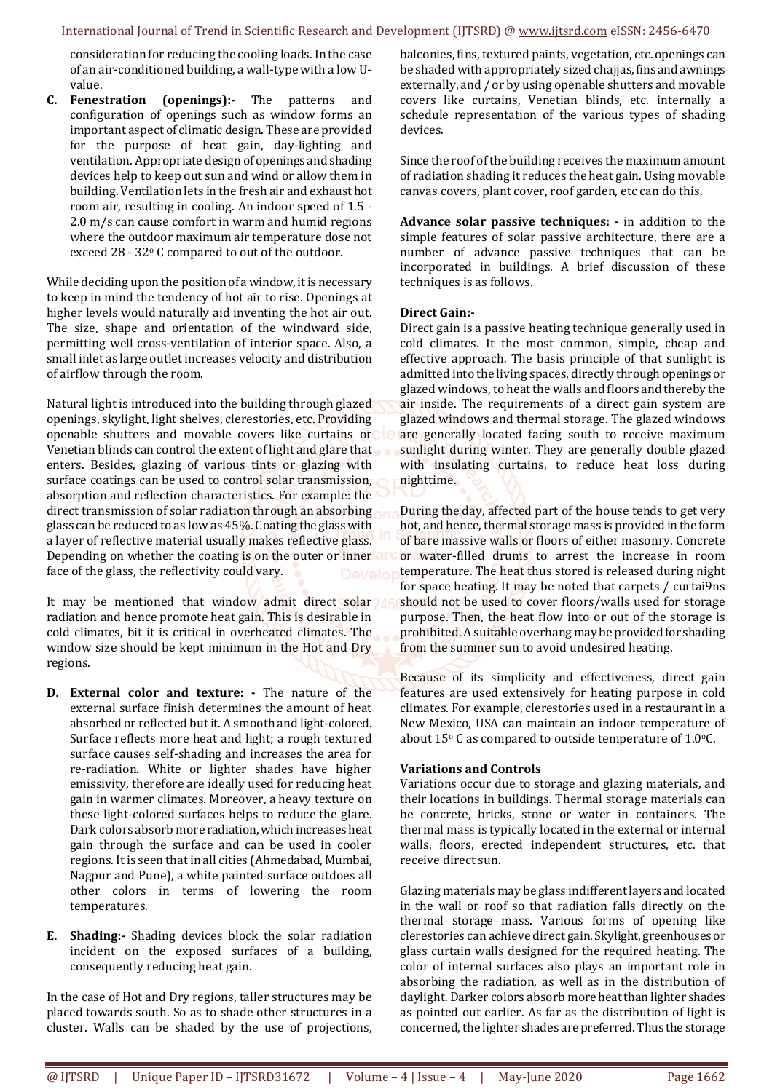consideration for reducing the cooling loads. In the case of an air-conditioned building, a wall-type with a low Uvalue.

**C. Fenestration (openings):-** The patterns and configuration of openings such as window forms an important aspect of climatic design. These are provided for the purpose of heat gain, day-lighting and ventilation. Appropriate design of openings and shading devices help to keep out sun and wind or allow them in building. Ventilation lets in the fresh air and exhaust hot room air, resulting in cooling. An indoor speed of 1.5 - 2.0 m/s can cause comfort in warm and humid regions where the outdoor maximum air temperature dose not exceed 28 - 32° C compared to out of the outdoor.

While deciding upon the position of a window, it is necessary to keep in mind the tendency of hot air to rise. Openings at higher levels would naturally aid inventing the hot air out. The size, shape and orientation of the windward side, permitting well cross-ventilation of interior space. Also, a small inlet as large outlet increases velocity and distribution of airflow through the room.

Natural light is introduced into the building through glazed openings, skylight, light shelves, clerestories, etc. Providing openable shutters and movable covers like curtains or Venetian blinds can control the extent of light and glare that enters. Besides, glazing of various tints or glazing with surface coatings can be used to control solar transmission, absorption and reflection characteristics. For example: the direct transmission of solar radiation through an absorbing glass can be reduced to as low as 45%. Coating the glass with a layer of reflective material usually makes reflective glass. Depending on whether the coating is on the outer or inner all face of the glass, the reflectivity could vary.

It may be mentioned that window admit direct solar 1 radiation and hence promote heat gain. This is desirable in cold climates, bit it is critical in overheated climates. The window size should be kept minimum in the Hot and Dry regions.

- **D. External color and texture:** The nature of the external surface finish determines the amount of heat absorbed or reflected but it. A smooth and light-colored. Surface reflects more heat and light; a rough textured surface causes self-shading and increases the area for re-radiation. White or lighter shades have higher emissivity, therefore are ideally used for reducing heat gain in warmer climates. Moreover, a heavy texture on these light-colored surfaces helps to reduce the glare. Dark colors absorb more radiation, which increases heat gain through the surface and can be used in cooler regions. It is seen that in all cities (Ahmedabad, Mumbai, Nagpur and Pune), a white painted surface outdoes all other colors in terms of lowering the room temperatures.
- **E. Shading:-** Shading devices block the solar radiation incident on the exposed surfaces of a building, consequently reducing heat gain.

In the case of Hot and Dry regions, taller structures may be placed towards south. So as to shade other structures in a cluster. Walls can be shaded by the use of projections,

balconies, fins, textured paints, vegetation, etc. openings can be shaded with appropriately sized chajjas, fins and awnings externally, and / or by using openable shutters and movable covers like curtains, Venetian blinds, etc. internally a schedule representation of the various types of shading devices.

Since the roof of the building receives the maximum amount of radiation shading it reduces the heat gain. Using movable canvas covers, plant cover, roof garden, etc can do this.

**Advance solar passive techniques: -** in addition to the simple features of solar passive architecture, there are a number of advance passive techniques that can be incorporated in buildings. A brief discussion of these techniques is as follows.

# **Direct Gain:-**

Direct gain is a passive heating technique generally used in cold climates. It the most common, simple, cheap and effective approach. The basis principle of that sunlight is admitted into the living spaces, directly through openings or glazed windows, to heat the walls and floors and thereby the air inside. The requirements of a direct gain system are glazed windows and thermal storage. The glazed windows are generally located facing south to receive maximum sunlight during winter. They are generally double glazed with insulating curtains, to reduce heat loss during nighttime.

During the day, affected part of the house tends to get very hot, and hence, thermal storage mass is provided in the form of bare massive walls or floors of either masonry. Concrete or water-filled drums to arrest the increase in room temperature. The heat thus stored is released during night for space heating. It may be noted that carpets / curtai9ns should not be used to cover floors/walls used for storage purpose. Then, the heat flow into or out of the storage is prohibited. A suitable overhang may be provided for shading from the summer sun to avoid undesired heating.

Because of its simplicity and effectiveness, direct gain features are used extensively for heating purpose in cold climates. For example, clerestories used in a restaurant in a New Mexico, USA can maintain an indoor temperature of about  $15^{\circ}$  C as compared to outside temperature of 1.0 $^{\circ}$ C.

# **Variations and Controls**

Variations occur due to storage and glazing materials, and their locations in buildings. Thermal storage materials can be concrete, bricks, stone or water in containers. The thermal mass is typically located in the external or internal walls, floors, erected independent structures, etc. that receive direct sun.

Glazing materials may be glass indifferent layers and located in the wall or roof so that radiation falls directly on the thermal storage mass. Various forms of opening like clerestories can achieve direct gain. Skylight, greenhouses or glass curtain walls designed for the required heating. The color of internal surfaces also plays an important role in absorbing the radiation, as well as in the distribution of daylight. Darker colors absorb more heat than lighter shades as pointed out earlier. As far as the distribution of light is concerned, the lighter shades are preferred. Thus the storage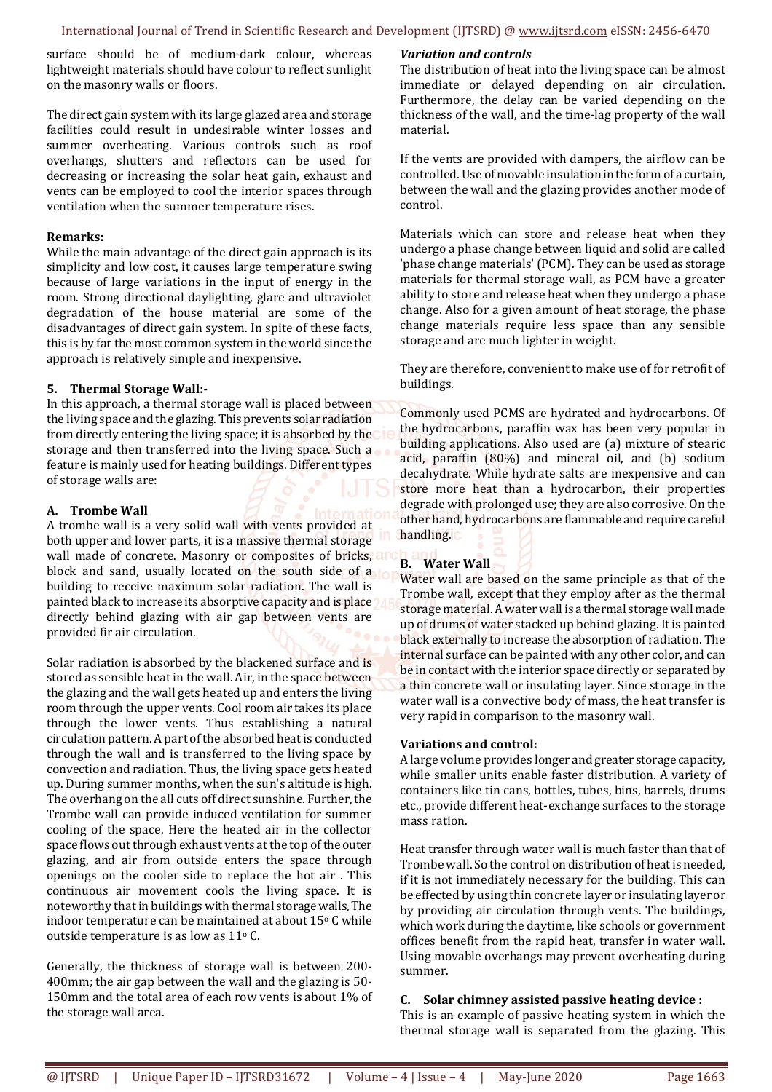surface should be of medium-dark colour, whereas lightweight materials should have colour to reflect sunlight on the masonry walls or floors.

The direct gain system with its large glazed area and storage facilities could result in undesirable winter losses and summer overheating. Various controls such as roof overhangs, shutters and reflectors can be used for decreasing or increasing the solar heat gain, exhaust and vents can be employed to cool the interior spaces through ventilation when the summer temperature rises.

# **Remarks:**

While the main advantage of the direct gain approach is its simplicity and low cost, it causes large temperature swing because of large variations in the input of energy in the room. Strong directional daylighting, glare and ultraviolet degradation of the house material are some of the disadvantages of direct gain system. In spite of these facts, this is by far the most common system in the world since the approach is relatively simple and inexpensive.

# **5. Thermal Storage Wall:-**

In this approach, a thermal storage wall is placed between the living space and the glazing. This prevents solar radiation from directly entering the living space; it is absorbed by the storage and then transferred into the living space. Such a feature is mainly used for heating buildings. Different types of storage walls are:

# **A. Trombe Wall**

A trombe wall is a very solid wall with vents provided at both upper and lower parts, it is a massive thermal storage wall made of concrete. Masonry or composites of bricks, and block and sand, usually located on the south side of a building to receive maximum solar radiation. The wall is painted black to increase its absorptive capacity and is place directly behind glazing with air gap between vents are provided fir air circulation.

Solar radiation is absorbed by the blackened surface and is stored as sensible heat in the wall. Air, in the space between the glazing and the wall gets heated up and enters the living room through the upper vents. Cool room air takes its place through the lower vents. Thus establishing a natural circulation pattern. A part of the absorbed heat is conducted through the wall and is transferred to the living space by convection and radiation. Thus, the living space gets heated up. During summer months, when the sun's altitude is high. The overhang on the all cuts off direct sunshine. Further, the Trombe wall can provide induced ventilation for summer cooling of the space. Here the heated air in the collector space flows out through exhaust vents at the top of the outer glazing, and air from outside enters the space through openings on the cooler side to replace the hot air . This continuous air movement cools the living space. It is noteworthy that in buildings with thermal storage walls, The indoor temperature can be maintained at about 15°C while outside temperature is as low as 11°C.

Generally, the thickness of storage wall is between 200- 400mm; the air gap between the wall and the glazing is 50- 150mm and the total area of each row vents is about 1% of the storage wall area.

# *Variation and controls*

The distribution of heat into the living space can be almost immediate or delayed depending on air circulation. Furthermore, the delay can be varied depending on the thickness of the wall, and the time-lag property of the wall material.

If the vents are provided with dampers, the airflow can be controlled. Use of movable insulation in the form of a curtain, between the wall and the glazing provides another mode of control.

Materials which can store and release heat when they undergo a phase change between liquid and solid are called 'phase change materials' (PCM). They can be used as storage materials for thermal storage wall, as PCM have a greater ability to store and release heat when they undergo a phase change. Also for a given amount of heat storage, the phase change materials require less space than any sensible storage and are much lighter in weight.

They are therefore, convenient to make use of for retrofit of buildings.

Commonly used PCMS are hydrated and hydrocarbons. Of the hydrocarbons, paraffin wax has been very popular in building applications. Also used are (a) mixture of stearic acid, paraffin (80%) and mineral oil, and (b) sodium decahydrate. While hydrate salts are inexpensive and can store more heat than a hydrocarbon, their properties degrade with prolonged use; they are also corrosive. On the other hand, hydrocarbons are flammable and require careful handling.

# **B. Water Wall**

Water wall are based on the same principle as that of the Trombe wall, except that they employ after as the thermal storage material. A water wall is a thermal storage wall made up of drums of water stacked up behind glazing. It is painted black externally to increase the absorption of radiation. The internal surface can be painted with any other color, and can be in contact with the interior space directly or separated by a thin concrete wall or insulating layer. Since storage in the water wall is a convective body of mass, the heat transfer is very rapid in comparison to the masonry wall.

# **Variations and control:**

A large volume provides longer and greater storage capacity, while smaller units enable faster distribution. A variety of containers like tin cans, bottles, tubes, bins, barrels, drums etc., provide different heat-exchange surfaces to the storage mass ration.

Heat transfer through water wall is much faster than that of Trombe wall. So the control on distribution of heat is needed, if it is not immediately necessary for the building. This can be effected by using thin concrete layer or insulating layer or by providing air circulation through vents. The buildings, which work during the daytime, like schools or government offices benefit from the rapid heat, transfer in water wall. Using movable overhangs may prevent overheating during summer.

# **C. Solar chimney assisted passive heating device :**

This is an example of passive heating system in which the thermal storage wall is separated from the glazing. This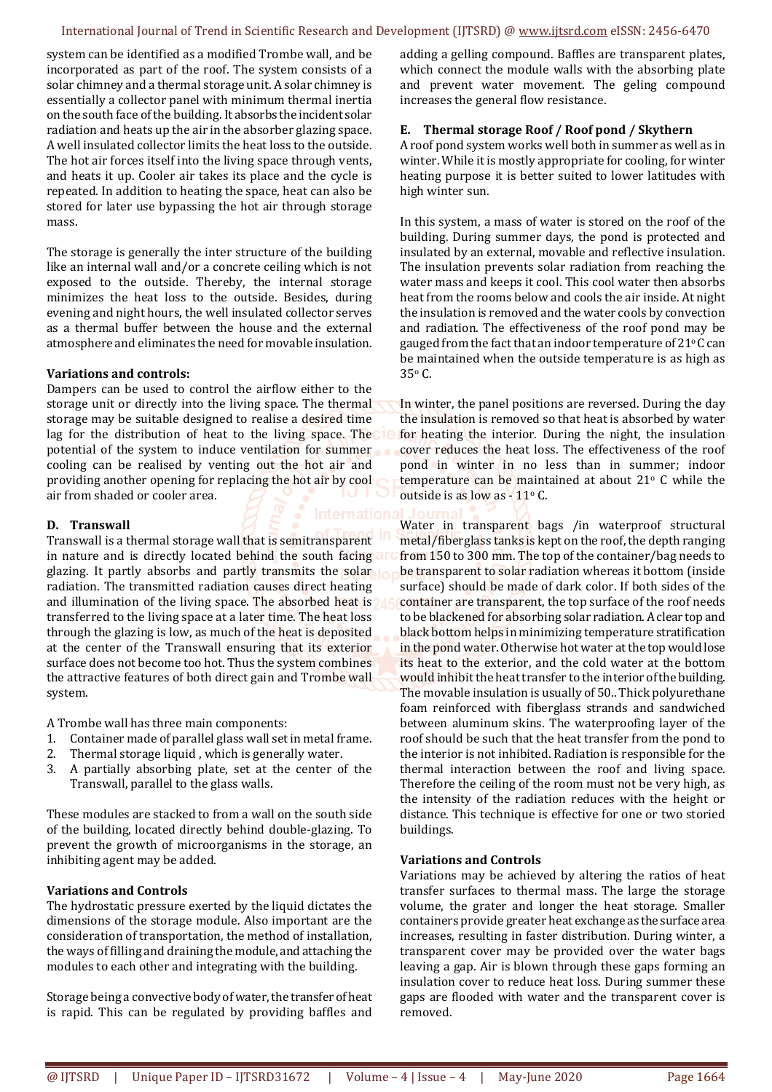#### International Journal of Trend in Scientific Research and Development (IJTSRD) @ www.ijtsrd.com eISSN: 2456-6470

system can be identified as a modified Trombe wall, and be incorporated as part of the roof. The system consists of a solar chimney and a thermal storage unit. A solar chimney is essentially a collector panel with minimum thermal inertia on the south face of the building. It absorbs the incident solar radiation and heats up the air in the absorber glazing space. A well insulated collector limits the heat loss to the outside. The hot air forces itself into the living space through vents, and heats it up. Cooler air takes its place and the cycle is repeated. In addition to heating the space, heat can also be stored for later use bypassing the hot air through storage mass.

The storage is generally the inter structure of the building like an internal wall and/or a concrete ceiling which is not exposed to the outside. Thereby, the internal storage minimizes the heat loss to the outside. Besides, during evening and night hours, the well insulated collector serves as a thermal buffer between the house and the external atmosphere and eliminates the need for movable insulation.

# **Variations and controls:**

Dampers can be used to control the airflow either to the storage unit or directly into the living space. The thermal storage may be suitable designed to realise a desired time lag for the distribution of heat to the living space. The potential of the system to induce ventilation for summer cooling can be realised by venting out the hot air and providing another opening for replacing the hot air by cool air from shaded or cooler area.

# **D. Transwall**

Transwall is a thermal storage wall that is semitransparent in nature and is directly located behind the south facing glazing. It partly absorbs and partly transmits the solar loss radiation. The transmitted radiation causes direct heating and illumination of the living space. The absorbed heat is transferred to the living space at a later time. The heat loss through the glazing is low, as much of the heat is deposited at the center of the Transwall ensuring that its exterior surface does not become too hot. Thus the system combines the attractive features of both direct gain and Trombe wall system.

A Trombe wall has three main components:

- 1. Container made of parallel glass wall set in metal frame.
- 2. Thermal storage liquid , which is generally water.
- 3. A partially absorbing plate, set at the center of the Transwall, parallel to the glass walls.

These modules are stacked to from a wall on the south side of the building, located directly behind double-glazing. To prevent the growth of microorganisms in the storage, an inhibiting agent may be added.

# **Variations and Controls**

The hydrostatic pressure exerted by the liquid dictates the dimensions of the storage module. Also important are the consideration of transportation, the method of installation, the ways of filling and draining the module, and attaching the modules to each other and integrating with the building.

Storage being a convective body of water, the transfer of heat is rapid. This can be regulated by providing baffles and

adding a gelling compound. Baffles are transparent plates, which connect the module walls with the absorbing plate and prevent water movement. The geling compound increases the general flow resistance.

# **E. Thermal storage Roof / Roof pond / Skythern**

A roof pond system works well both in summer as well as in winter. While it is mostly appropriate for cooling, for winter heating purpose it is better suited to lower latitudes with high winter sun.

In this system, a mass of water is stored on the roof of the building. During summer days, the pond is protected and insulated by an external, movable and reflective insulation. The insulation prevents solar radiation from reaching the water mass and keeps it cool. This cool water then absorbs heat from the rooms below and cools the air inside. At night the insulation is removed and the water cools by convection and radiation. The effectiveness of the roof pond may be gauged from the fact that an indoor temperature of  $21^{\circ}$ C can be maintained when the outside temperature is as high as 35o C.

In winter, the panel positions are reversed. During the day the insulation is removed so that heat is absorbed by water for heating the interior. During the night, the insulation cover reduces the heat loss. The effectiveness of the roof pond in winter in no less than in summer; indoor temperature can be maintained at about  $21^{\circ}$  C while the outside is as low as - 11o C.

Water in transparent bags /in waterproof structural metal/fiberglass tanks is kept on the roof, the depth ranging from 150 to 300 mm. The top of the container/bag needs to be transparent to solar radiation whereas it bottom (inside surface) should be made of dark color. If both sides of the container are transparent, the top surface of the roof needs to be blackened for absorbing solar radiation. A clear top and black bottom helps in minimizing temperature stratification in the pond water. Otherwise hot water at the top would lose its heat to the exterior, and the cold water at the bottom would inhibit the heat transfer to the interior of the building. The movable insulation is usually of 50.. Thick polyurethane foam reinforced with fiberglass strands and sandwiched between aluminum skins. The waterproofing layer of the roof should be such that the heat transfer from the pond to the interior is not inhibited. Radiation is responsible for the thermal interaction between the roof and living space. Therefore the ceiling of the room must not be very high, as the intensity of the radiation reduces with the height or distance. This technique is effective for one or two storied buildings.

# **Variations and Controls**

Variations may be achieved by altering the ratios of heat transfer surfaces to thermal mass. The large the storage volume, the grater and longer the heat storage. Smaller containers provide greater heat exchange as the surface area increases, resulting in faster distribution. During winter, a transparent cover may be provided over the water bags leaving a gap. Air is blown through these gaps forming an insulation cover to reduce heat loss. During summer these gaps are flooded with water and the transparent cover is removed.